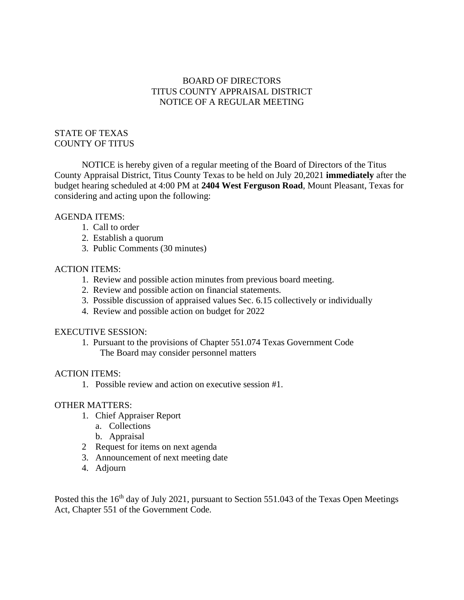# BOARD OF DIRECTORS TITUS COUNTY APPRAISAL DISTRICT NOTICE OF A REGULAR MEETING

## STATE OF TEXAS COUNTY OF TITUS

NOTICE is hereby given of a regular meeting of the Board of Directors of the Titus County Appraisal District, Titus County Texas to be held on July 20,2021 **immediately** after the budget hearing scheduled at 4:00 PM at **2404 West Ferguson Road**, Mount Pleasant, Texas for considering and acting upon the following:

## AGENDA ITEMS:

- 1. Call to order
- 2. Establish a quorum
- 3. Public Comments (30 minutes)

### ACTION ITEMS:

- 1. Review and possible action minutes from previous board meeting.
- 2. Review and possible action on financial statements.
- 3. Possible discussion of appraised values Sec. 6.15 collectively or individually
- 4. Review and possible action on budget for 2022

#### EXECUTIVE SESSION:

1. Pursuant to the provisions of Chapter 551.074 Texas Government Code The Board may consider personnel matters

## ACTION ITEMS:

1. Possible review and action on executive session #1.

### OTHER MATTERS:

- 1. Chief Appraiser Report
	- a. Collections
	- b. Appraisal
- 2 Request for items on next agenda
- 3. Announcement of next meeting date
- 4. Adjourn

Posted this the 16<sup>th</sup> day of July 2021, pursuant to Section 551.043 of the Texas Open Meetings Act, Chapter 551 of the Government Code.